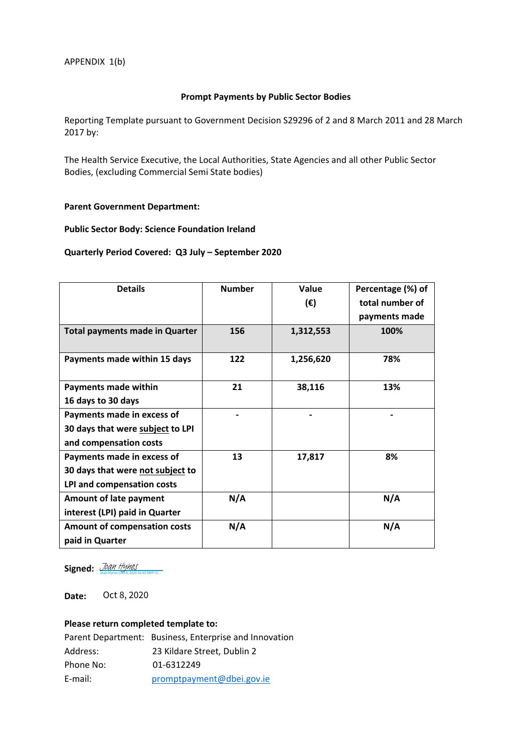## **Prompt Payments by Public Sector Bodies**

Reporting Template pursuant to Government Decision S29296 of 2 and 8 March 2011 and 28 March 2017 by:

The Health Service Executive, the Local Authorities, State Agencies and all other Public Sector Bodies, (excluding Commercial Semi State bodies)

#### **Parent Government Department:**

## **Public Sector Body: Science Foundation Ireland**

#### **Quarterly Period Covered: Q3 July – September 2020**

| <b>Details</b>                        | <b>Number</b> | Value     | Percentage (%) of |
|---------------------------------------|---------------|-----------|-------------------|
|                                       |               | (E)       | total number of   |
|                                       |               |           | payments made     |
| <b>Total payments made in Quarter</b> | 156           | 1,312,553 | 100%              |
| Payments made within 15 days          | 122           | 1,256,620 | 78%               |
| Payments made within                  | 21            | 38,116    | 13%               |
| 16 days to 30 days                    |               |           |                   |
| Payments made in excess of            |               |           |                   |
| 30 days that were subject to LPI      |               |           |                   |
| and compensation costs                |               |           |                   |
| Payments made in excess of            | 13            | 17,817    | 8%                |
| 30 days that were not subject to      |               |           |                   |
| LPI and compensation costs            |               |           |                   |
| <b>Amount of late payment</b>         | N/A           |           | N/A               |
| interest (LPI) paid in Quarter        |               |           |                   |
| <b>Amount of compensation costs</b>   | N/A           |           | N/A               |
| paid in Quarter                       |               |           |                   |

**Signed:** [Joan Hynes](https://eu1.documents.adobe.com/verifier?tx=CBJCHBCAABAA4GPq1BIkl8DsGl2HbkY62wiBdbhvv61y) (Oct 8, 2020 16:43 GMT+1)

**Date:**  Oct 8, 2020

## **Please return completed template to:**

|           | Parent Department: Business, Enterprise and Innovation |
|-----------|--------------------------------------------------------|
| Address:  | 23 Kildare Street. Dublin 2                            |
| Phone No: | 01-6312249                                             |
| E-mail:   | promptpayment@dbei.gov.ie                              |